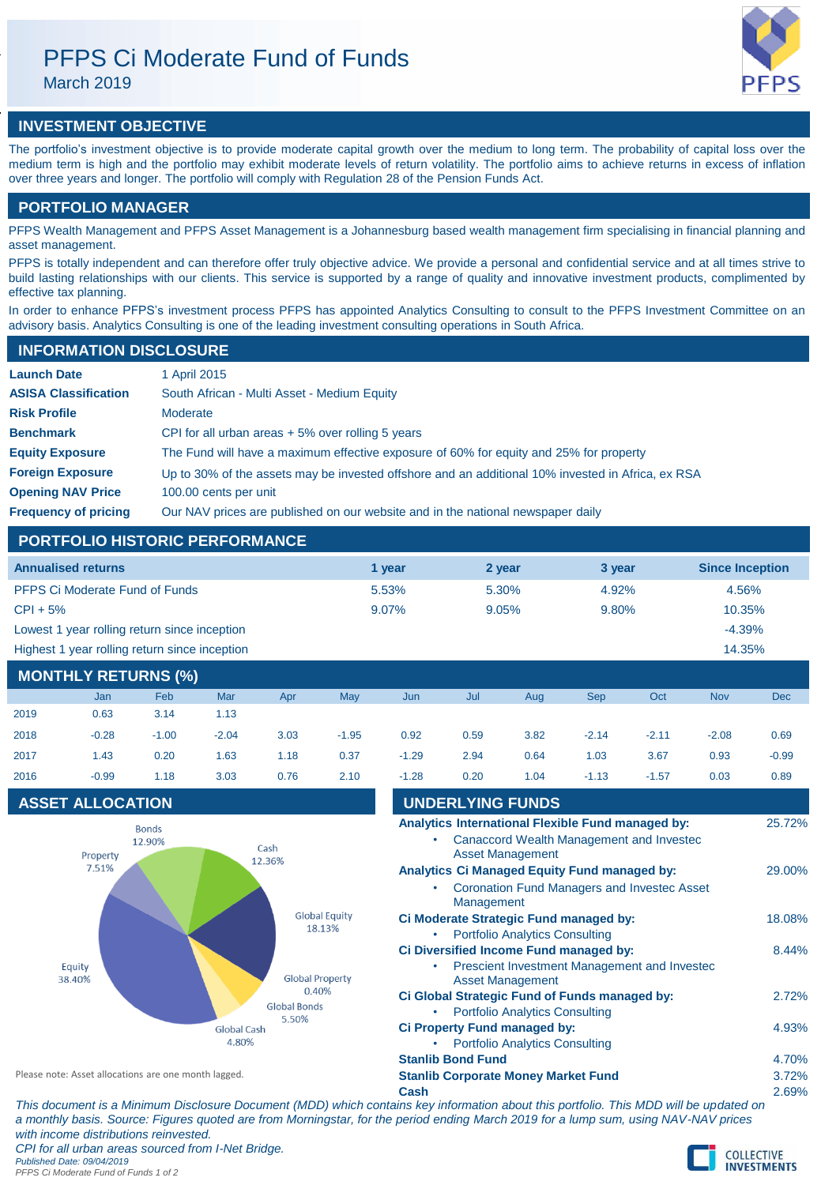# PFPS Ci Moderate Fund of Funds

March 2019

# **INVESTMENT OBJECTIVE**

The portfolio's investment objective is to provide moderate capital growth over the medium to long term. The probability of capital loss over the medium term is high and the portfolio may exhibit moderate levels of return volatility. The portfolio aims to achieve returns in excess of inflation over three years and longer. The portfolio will comply with Regulation 28 of the Pension Funds Act.

# **PORTFOLIO MANAGER**

PFPS Wealth Management and PFPS Asset Management is a Johannesburg based wealth management firm specialising in financial planning and asset management.

PFPS is totally independent and can therefore offer truly objective advice. We provide a personal and confidential service and at all times strive to build lasting relationships with our clients. This service is supported by a range of quality and innovative investment products, complimented by effective tax planning.

In order to enhance PFPS's investment process PFPS has appointed Analytics Consulting to consult to the PFPS Investment Committee on an advisory basis. Analytics Consulting is one of the leading investment consulting operations in South Africa.

| <b>INFORMATION DISCLOSURE</b> |                                                                                                   |  |  |  |  |  |
|-------------------------------|---------------------------------------------------------------------------------------------------|--|--|--|--|--|
| <b>Launch Date</b>            | 1 April 2015                                                                                      |  |  |  |  |  |
| <b>ASISA Classification</b>   | South African - Multi Asset - Medium Equity                                                       |  |  |  |  |  |
| <b>Risk Profile</b>           | Moderate                                                                                          |  |  |  |  |  |
| <b>Benchmark</b>              | CPI for all urban areas $+5\%$ over rolling 5 years                                               |  |  |  |  |  |
| <b>Equity Exposure</b>        | The Fund will have a maximum effective exposure of 60% for equity and 25% for property            |  |  |  |  |  |
| <b>Foreign Exposure</b>       | Up to 30% of the assets may be invested offshore and an additional 10% invested in Africa, ex RSA |  |  |  |  |  |
| <b>Opening NAV Price</b>      | 100.00 cents per unit                                                                             |  |  |  |  |  |
| <b>Frequency of pricing</b>   | Our NAV prices are published on our website and in the national newspaper daily                   |  |  |  |  |  |

# **PORTFOLIO HISTORIC PERFORMANCE**

| <b>Annualised returns</b>                     | 1 year | 2 year | 3 year | <b>Since Inception</b> |
|-----------------------------------------------|--------|--------|--------|------------------------|
| <b>PFPS Ci Moderate Fund of Funds</b>         | 5.53%  | 5.30%  | 4.92%  | 4.56%                  |
| $CPI + 5%$                                    | 9.07%  | 9.05%  | 9.80%  | 10.35%                 |
| Lowest 1 year rolling return since inception  |        |        |        | $-4.39%$               |
| Highest 1 year rolling return since inception |        |        |        | 14.35%                 |

# **MONTHLY RETURNS (%)**

|      | Jan     | Feb     | Mar     | Apr  | <b>May</b> | Jun     | Jul  | Aug  | <b>Sep</b> | Oct     | <b>Nov</b> | <b>Dec</b> |
|------|---------|---------|---------|------|------------|---------|------|------|------------|---------|------------|------------|
| 2019 | 0.63    | 3.14    | 1.13    |      |            |         |      |      |            |         |            |            |
| 2018 | $-0.28$ | $-1.00$ | $-2.04$ | 3.03 | $-1.95$    | 0.92    | 0.59 | 3.82 | $-2.14$    | $-2.11$ | $-2.08$    | 0.69       |
| 2017 | 1.43    | 0.20    | 1.63    | 1.18 | 0.37       | $-1.29$ | 2.94 | 0.64 | 1.03       | 3.67    | 0.93       | $-0.99$    |
| 2016 | $-0.99$ | 1.18    | 3.03    | 0.76 | 2.10       | $-1.28$ | 0.20 | 1.04 | $-1.13$    | $-1.57$ | 0.03       | 0.89       |
|      |         |         |         |      |            |         |      |      |            |         |            |            |

# **ASSET ALLOCATION**



| 2016                                                 | $-0.99$                 | 1.18                                                                                    | 3.03 | 0.76                                       | 2.10 | $-1.28$                                                               | 0.20                                                                                   | 1.04                                          | $-1.13$                                                                                                   | $-1.57$ | 0.03  | 0.89   |
|------------------------------------------------------|-------------------------|-----------------------------------------------------------------------------------------|------|--------------------------------------------|------|-----------------------------------------------------------------------|----------------------------------------------------------------------------------------|-----------------------------------------------|-----------------------------------------------------------------------------------------------------------|---------|-------|--------|
|                                                      | <b>ASSET ALLOCATION</b> |                                                                                         |      |                                            |      |                                                                       |                                                                                        | <b>UNDERLYING FUNDS</b>                       |                                                                                                           |         |       |        |
|                                                      | Property                | <b>Bonds</b><br>12.90%                                                                  | Cash |                                            |      |                                                                       |                                                                                        | <b>Asset Management</b>                       | Analytics International Flexible Fund managed by:<br><b>Canaccord Wealth Management and Investec</b>      |         |       | 25.72% |
|                                                      | 7.51%                   |                                                                                         |      | 12.36%                                     |      | ٠                                                                     | Management                                                                             |                                               | <b>Analytics Ci Managed Equity Fund managed by:</b><br><b>Coronation Fund Managers and Investec Asset</b> |         |       | 29.00% |
|                                                      |                         | <b>Global Equity</b><br>18.13%                                                          |      | ۰                                          |      | <b>Portfolio Analytics Consulting</b>                                 | Ci Moderate Strategic Fund managed by:                                                 |                                               |                                                                                                           | 18.08%  |       |        |
| Equity<br>38.40%                                     |                         | <b>Global Property</b><br>0.40%<br><b>Global Bonds</b><br>5.50%<br>Global Cash<br>4.80% |      |                                            |      | <b>Asset Management</b>                                               | Ci Diversified Income Fund managed by:<br>Prescient Investment Management and Investec |                                               |                                                                                                           | 8.44%   |       |        |
|                                                      |                         |                                                                                         |      |                                            |      |                                                                       | <b>Portfolio Analytics Consulting</b>                                                  | Ci Global Strategic Fund of Funds managed by: |                                                                                                           |         | 2.72% |        |
|                                                      |                         |                                                                                         |      |                                            |      | Ci Property Fund managed by:<br><b>Portfolio Analytics Consulting</b> |                                                                                        |                                               |                                                                                                           |         |       | 4.93%  |
|                                                      |                         |                                                                                         |      |                                            |      |                                                                       | <b>Stanlib Bond Fund</b>                                                               |                                               |                                                                                                           |         |       | 4.70%  |
| Please note: Asset allocations are one month lagged. |                         |                                                                                         |      | <b>Stanlib Corporate Money Market Fund</b> |      |                                                                       |                                                                                        | 3.72%                                         |                                                                                                           |         |       |        |
|                                                      |                         |                                                                                         |      |                                            |      | Cash                                                                  |                                                                                        |                                               |                                                                                                           |         |       | 2.69%  |
|                                                      |                         |                                                                                         |      |                                            |      |                                                                       |                                                                                        |                                               |                                                                                                           |         |       |        |

*This document is a Minimum Disclosure Document (MDD) which contains key information about this portfolio. This MDD will be updated on a monthly basis. Source: Figures quoted are from Morningstar, for the period ending March 2019 for a lump sum, using NAV-NAV prices with income distributions reinvested. CPI for all urban areas sourced from I-Net Bridge. Published Date: 09/04/2019*

*PFPS Ci Moderate Fund of Funds 1 of 2*